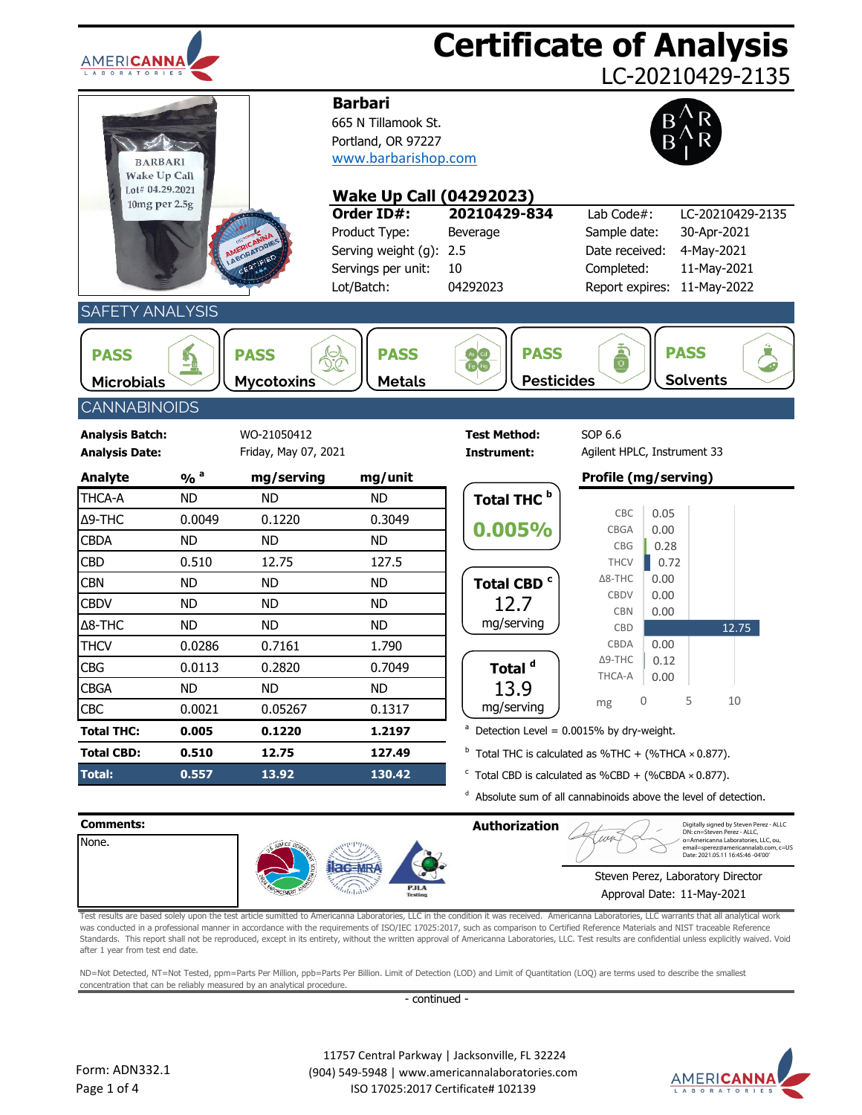| AMERICANNA                                               |                                  |                                     |                                                                                                                          | <b>Certificate of Analysis</b>                                                                                                                  |                                                                               |                                | LC-20210429-2135                               |
|----------------------------------------------------------|----------------------------------|-------------------------------------|--------------------------------------------------------------------------------------------------------------------------|-------------------------------------------------------------------------------------------------------------------------------------------------|-------------------------------------------------------------------------------|--------------------------------|------------------------------------------------|
| <b>BARBARI</b><br><b>Wake Up Call</b><br>Lot# 04.29.2021 |                                  |                                     | <b>Barbari</b><br>665 N Tillamook St.<br>Portland, OR 97227<br>www.barbarishop.com                                       |                                                                                                                                                 |                                                                               |                                |                                                |
| 10mg per 2.5g                                            |                                  | ABORATORI                           | <b>Wake Up Call (04292023)</b><br>Order ID#:<br>Product Type:<br>Serving weight (g):<br>Servings per unit:<br>Lot/Batch: | 20210429-834<br>Beverage<br>2.5<br>10<br>04292023                                                                                               | Lab Code#:<br>Sample date:<br>Date received:<br>Completed:<br>Report expires: | 30-Apr-2021<br>4-May-2021      | LC-20210429-2135<br>11-May-2021<br>11-May-2022 |
| <b>SAFETY ANALYSIS</b>                                   |                                  |                                     |                                                                                                                          |                                                                                                                                                 |                                                                               |                                |                                                |
| <b>PASS</b><br><b>Microbials</b>                         | $\frac{1}{2}$                    | <b>PASS</b><br><b>Mycotoxins</b>    | <b>PASS</b><br><b>Metals</b>                                                                                             | <b>PASS</b><br>Fe Hg<br><b>Pesticides</b>                                                                                                       | $\frac{1}{\alpha}$                                                            | <b>PASS</b><br><b>Solvents</b> |                                                |
| <b>CANNABINOIDS</b>                                      |                                  |                                     |                                                                                                                          |                                                                                                                                                 |                                                                               |                                |                                                |
| <b>Analysis Batch:</b><br><b>Analysis Date:</b>          |                                  | WO-21050412<br>Friday, May 07, 2021 |                                                                                                                          | <b>Test Method:</b><br>Instrument:                                                                                                              | SOP 6.6<br>Agilent HPLC, Instrument 33                                        |                                |                                                |
| <b>Analyte</b>                                           | $\frac{9}{6}$ <sup>a</sup>       | mg/serving                          | mg/unit                                                                                                                  |                                                                                                                                                 | Profile (mg/serving)                                                          |                                |                                                |
| THCA-A<br>Δ9-THC<br><b>CBDA</b>                          | <b>ND</b><br>0.0049<br><b>ND</b> | <b>ND</b><br>0.1220<br><b>ND</b>    | <b>ND</b><br>0.3049<br><b>ND</b>                                                                                         | Total THC <sup>b</sup><br>0.005%                                                                                                                | CBC<br>CBGA<br><b>CBG</b>                                                     | 0.05<br>0.00<br>0.28           |                                                |
| <b>CBD</b>                                               | 0.510                            | 12.75                               | 127.5                                                                                                                    |                                                                                                                                                 | <b>THCV</b><br>$\Delta$ 8-THC                                                 | 0.72<br>0.00                   |                                                |
| <b>CBN</b><br><b>CBDV</b>                                | <b>ND</b><br><b>ND</b>           | <b>ND</b><br><b>ND</b>              | <b>ND</b><br><b>ND</b>                                                                                                   | Total CBD <sup>c</sup><br>12.7<br>mg/serving                                                                                                    | <b>CBDV</b><br><b>CBN</b>                                                     | 0.00<br>0.00                   |                                                |
| Δ8-THC<br><b>THCV</b>                                    | <b>ND</b><br>0.0286              | <b>ND</b><br>0.7161                 | <b>ND</b><br>1.790                                                                                                       |                                                                                                                                                 | CBD<br>CBDA                                                                   | 0.00                           | 12.75                                          |
| CBG                                                      | 0.0113                           | 0.2820                              | 0.7049                                                                                                                   | Total <sup>d</sup>                                                                                                                              | $\Delta$ 9-THC                                                                | 0.12                           |                                                |
| <b>CBGA</b>                                              | <b>ND</b>                        | <b>ND</b>                           | <b>ND</b>                                                                                                                | 13.9                                                                                                                                            | THCA-A                                                                        | 0.00                           |                                                |
| <b>CBC</b>                                               | 0.0021                           | 0.05267                             | 0.1317                                                                                                                   | mg/serving                                                                                                                                      | 0<br>mg                                                                       | 5                              | 10                                             |
| <b>Total THC:</b>                                        | 0.005                            | 0.1220                              | 1.2197                                                                                                                   | <sup>a</sup> Detection Level = $0.0015\%$ by dry-weight.                                                                                        |                                                                               |                                |                                                |
| <b>Total CBD:</b>                                        | 0.510                            | 12.75                               | 127.49                                                                                                                   | $b$ Total THC is calculated as %THC + (%THCA $\times$ 0.877).                                                                                   |                                                                               |                                |                                                |
| Total:                                                   | 0.557                            | 13.92                               | 130.42                                                                                                                   | $\textdegree$ Total CBD is calculated as %CBD + (%CBDA × 0.877).<br><sup>d</sup> Absolute sum of all cannabinoids above the level of detection. |                                                                               |                                |                                                |
| Comments:                                                |                                  |                                     |                                                                                                                          | <b>Authorization</b>                                                                                                                            |                                                                               |                                | Digitally signed by Steven Perez - ALLC        |



| Comments:                                                                                                                                                                                                                                                                                                                                                                                                                                                                                                                                                                                                                                                                                                                                                                                                                                                                                  |  |                                          |               | <b>Authorization</b>                                                                              |                                                                                                                  | Digitally signed by Steven Perez - ALLC<br>DN: cn=Steven Perez - ALLC. |
|--------------------------------------------------------------------------------------------------------------------------------------------------------------------------------------------------------------------------------------------------------------------------------------------------------------------------------------------------------------------------------------------------------------------------------------------------------------------------------------------------------------------------------------------------------------------------------------------------------------------------------------------------------------------------------------------------------------------------------------------------------------------------------------------------------------------------------------------------------------------------------------------|--|------------------------------------------|---------------|---------------------------------------------------------------------------------------------------|------------------------------------------------------------------------------------------------------------------|------------------------------------------------------------------------|
| None.                                                                                                                                                                                                                                                                                                                                                                                                                                                                                                                                                                                                                                                                                                                                                                                                                                                                                      |  | Hac-MRA<br><b>PJLA</b><br><b>Testing</b> |               | wo                                                                                                | o=Americanna Laboratories, LLC, ou,<br>email=sperez@americannalab.com, c=US<br>Date: 2021.05.11 16:45:46 -04'00' |                                                                        |
|                                                                                                                                                                                                                                                                                                                                                                                                                                                                                                                                                                                                                                                                                                                                                                                                                                                                                            |  |                                          |               | Steven Perez, Laboratory Director                                                                 |                                                                                                                  |                                                                        |
|                                                                                                                                                                                                                                                                                                                                                                                                                                                                                                                                                                                                                                                                                                                                                                                                                                                                                            |  |                                          |               |                                                                                                   | Approval Date: 11-May-2021                                                                                       |                                                                        |
| Test results are based solely upon the test article sumitted to Americanna Laboratories, LLC in the condition it was received. Americanna Laboratories, LLC warrants that all analytical work<br>was conducted in a professional manner in accordance with the requirements of ISO/IEC 17025:2017, such as comparison to Certified Reference Materials and NIST traceable Reference<br>Standards. This report shall not be reproduced, except in its entirety, without the written approval of Americanna Laboratories, LLC. Test results are confidential unless explicitly waived. Void<br>after 1 year from test end date.<br>ND=Not Detected, NT=Not Tested, ppm=Parts Per Million, ppb=Parts Per Billion. Limit of Detection (LOD) and Limit of Quantitation (LOQ) are terms used to describe the smallest<br>concentration that can be reliably measured by an analytical procedure. |  |                                          |               |                                                                                                   |                                                                                                                  |                                                                        |
|                                                                                                                                                                                                                                                                                                                                                                                                                                                                                                                                                                                                                                                                                                                                                                                                                                                                                            |  |                                          | - continued - |                                                                                                   |                                                                                                                  |                                                                        |
|                                                                                                                                                                                                                                                                                                                                                                                                                                                                                                                                                                                                                                                                                                                                                                                                                                                                                            |  |                                          |               |                                                                                                   |                                                                                                                  |                                                                        |
| Form: ADN332.1                                                                                                                                                                                                                                                                                                                                                                                                                                                                                                                                                                                                                                                                                                                                                                                                                                                                             |  |                                          |               | 11757 Central Parkway   Jacksonville, FL 32224<br>(904) 549-5948   www.americannalaboratories.com |                                                                                                                  |                                                                        |
| Page 1 of 4                                                                                                                                                                                                                                                                                                                                                                                                                                                                                                                                                                                                                                                                                                                                                                                                                                                                                |  |                                          |               | ISO 17025:2017 Certificate# 102139                                                                |                                                                                                                  | ABOR                                                                   |

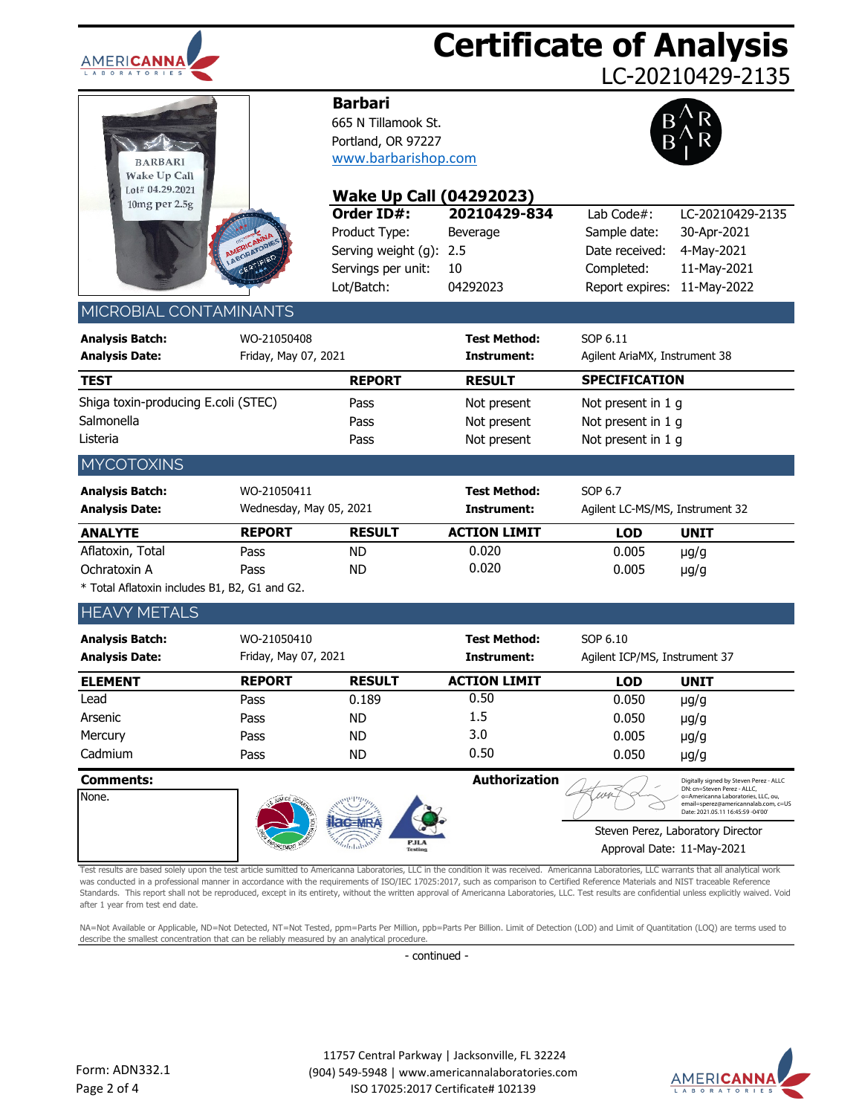

## **Certificate of Analysis**

LC-20210429-2135

| <b>BARBARI</b><br><b>Wake Up Call</b><br>Lot# 04.29.2021 |              |
|----------------------------------------------------------|--------------|
| 10mg per 2.5g<br>AMERICANNA                              | LABORATORIES |
|                                                          | CERTIFIED    |

### **Barbari**

665 N Tillamook St. Portland, OR 97227 [www.barbarishop.com](http://www.teatagsandthings.com/)



| しいしゃ いエムしょくいとし<br>10mg per 2.5g                                                                                                                                                                                                                                                                                                                                                                                                                                                                                                                                                                                               |                         | <b>Wake Up Call (04292023)</b>     |                                                 |                                 |                                                                                                                  |
|-------------------------------------------------------------------------------------------------------------------------------------------------------------------------------------------------------------------------------------------------------------------------------------------------------------------------------------------------------------------------------------------------------------------------------------------------------------------------------------------------------------------------------------------------------------------------------------------------------------------------------|-------------------------|------------------------------------|-------------------------------------------------|---------------------------------|------------------------------------------------------------------------------------------------------------------|
|                                                                                                                                                                                                                                                                                                                                                                                                                                                                                                                                                                                                                               |                         | Order ID#:                         | 20210429-834                                    | Lab Code#:                      | LC-20210429-2135                                                                                                 |
|                                                                                                                                                                                                                                                                                                                                                                                                                                                                                                                                                                                                                               |                         | Product Type:                      | Beverage                                        | Sample date:                    | 30-Apr-2021                                                                                                      |
|                                                                                                                                                                                                                                                                                                                                                                                                                                                                                                                                                                                                                               | ABORATORIES             | Serving weight (g):                | 2.5                                             | Date received:                  | 4-May-2021                                                                                                       |
|                                                                                                                                                                                                                                                                                                                                                                                                                                                                                                                                                                                                                               | CERTIFIED               | Servings per unit:                 | 10                                              | Completed:                      | 11-May-2021                                                                                                      |
|                                                                                                                                                                                                                                                                                                                                                                                                                                                                                                                                                                                                                               |                         | Lot/Batch:                         | 04292023                                        | Report expires:                 | 11-May-2022                                                                                                      |
| MICROBIAL CONTAMINANTS                                                                                                                                                                                                                                                                                                                                                                                                                                                                                                                                                                                                        |                         |                                    |                                                 |                                 |                                                                                                                  |
| <b>Analysis Batch:</b>                                                                                                                                                                                                                                                                                                                                                                                                                                                                                                                                                                                                        | WO-21050408             |                                    | <b>Test Method:</b>                             | SOP 6.11                        |                                                                                                                  |
| <b>Analysis Date:</b>                                                                                                                                                                                                                                                                                                                                                                                                                                                                                                                                                                                                         | Friday, May 07, 2021    |                                    | Instrument:                                     | Agilent AriaMX, Instrument 38   |                                                                                                                  |
| <b>TEST</b>                                                                                                                                                                                                                                                                                                                                                                                                                                                                                                                                                                                                                   |                         | <b>REPORT</b>                      | <b>RESULT</b>                                   | <b>SPECIFICATION</b>            |                                                                                                                  |
| Shiga toxin-producing E.coli (STEC)                                                                                                                                                                                                                                                                                                                                                                                                                                                                                                                                                                                           |                         | Pass                               | Not present                                     | Not present in 1 g              |                                                                                                                  |
| Salmonella                                                                                                                                                                                                                                                                                                                                                                                                                                                                                                                                                                                                                    |                         | Pass                               | Not present                                     | Not present in 1 g              |                                                                                                                  |
| Listeria                                                                                                                                                                                                                                                                                                                                                                                                                                                                                                                                                                                                                      |                         | Pass                               | Not present                                     | Not present in 1 g              |                                                                                                                  |
| <b>MYCOTOXINS</b>                                                                                                                                                                                                                                                                                                                                                                                                                                                                                                                                                                                                             |                         |                                    |                                                 |                                 |                                                                                                                  |
| <b>Analysis Batch:</b>                                                                                                                                                                                                                                                                                                                                                                                                                                                                                                                                                                                                        | WO-21050411             |                                    | <b>Test Method:</b>                             | SOP 6.7                         |                                                                                                                  |
| <b>Analysis Date:</b>                                                                                                                                                                                                                                                                                                                                                                                                                                                                                                                                                                                                         | Wednesday, May 05, 2021 |                                    | <b>Instrument:</b>                              | Agilent LC-MS/MS, Instrument 32 |                                                                                                                  |
| <b>ANALYTE</b>                                                                                                                                                                                                                                                                                                                                                                                                                                                                                                                                                                                                                | <b>REPORT</b>           | <b>RESULT</b>                      | <b>ACTION LIMIT</b>                             | <b>LOD</b>                      | <b>UNIT</b>                                                                                                      |
| Aflatoxin, Total                                                                                                                                                                                                                                                                                                                                                                                                                                                                                                                                                                                                              | Pass                    | <b>ND</b>                          | 0.020                                           | 0.005                           | $\mu$ g/g                                                                                                        |
| Ochratoxin A                                                                                                                                                                                                                                                                                                                                                                                                                                                                                                                                                                                                                  | Pass                    | <b>ND</b>                          | 0.020                                           | 0.005                           | $\mu$ g/g                                                                                                        |
| * Total Aflatoxin includes B1, B2, G1 and G2.                                                                                                                                                                                                                                                                                                                                                                                                                                                                                                                                                                                 |                         |                                    |                                                 |                                 |                                                                                                                  |
| <b>HEAVY METALS</b>                                                                                                                                                                                                                                                                                                                                                                                                                                                                                                                                                                                                           |                         |                                    |                                                 |                                 |                                                                                                                  |
| <b>Analysis Batch:</b>                                                                                                                                                                                                                                                                                                                                                                                                                                                                                                                                                                                                        | WO-21050410             |                                    | Test Method:                                    | SOP 6.10                        |                                                                                                                  |
| <b>Analysis Date:</b>                                                                                                                                                                                                                                                                                                                                                                                                                                                                                                                                                                                                         | Friday, May 07, 2021    |                                    | Instrument:                                     | Agilent ICP/MS, Instrument 37   |                                                                                                                  |
| <b>ELEMENT</b>                                                                                                                                                                                                                                                                                                                                                                                                                                                                                                                                                                                                                | <b>REPORT</b>           | <b>RESULT</b>                      | <b>ACTION LIMIT</b>                             | <b>LOD</b>                      | <b>UNIT</b>                                                                                                      |
| Lead                                                                                                                                                                                                                                                                                                                                                                                                                                                                                                                                                                                                                          | Pass                    | 0.189                              | 0.50                                            | 0.050                           | $\mu$ g/g                                                                                                        |
| Arsenic                                                                                                                                                                                                                                                                                                                                                                                                                                                                                                                                                                                                                       | Pass                    | <b>ND</b>                          | 1.5                                             | 0.050                           | $\mu$ g/g                                                                                                        |
| Mercury                                                                                                                                                                                                                                                                                                                                                                                                                                                                                                                                                                                                                       | Pass                    | <b>ND</b>                          | 3.0                                             | 0.005                           | $\mu$ g/g                                                                                                        |
| Cadmium                                                                                                                                                                                                                                                                                                                                                                                                                                                                                                                                                                                                                       | Pass                    | <b>ND</b>                          | 0.50                                            | 0.050                           | $\mu$ g/g                                                                                                        |
| <b>Comments:</b>                                                                                                                                                                                                                                                                                                                                                                                                                                                                                                                                                                                                              |                         |                                    | Authorization                                   |                                 | Digitally signed by Steven Perez - ALLC<br>DN: cn=Steven Perez - ALLC,                                           |
| None.                                                                                                                                                                                                                                                                                                                                                                                                                                                                                                                                                                                                                         |                         |                                    |                                                 |                                 | o=Americanna Laboratories, LLC, ou,<br>email=sperez@americannalab.com, c=US<br>Date: 2021.05.11 16:45:59 -04'00' |
|                                                                                                                                                                                                                                                                                                                                                                                                                                                                                                                                                                                                                               |                         |                                    |                                                 |                                 | Steven Perez, Laboratory Director                                                                                |
|                                                                                                                                                                                                                                                                                                                                                                                                                                                                                                                                                                                                                               |                         | Testin                             |                                                 | Approval Date: 11-May-2021      |                                                                                                                  |
| Test results are based solely upon the test article sumitted to Americanna Laboratories, LLC in the condition it was received. Americanna Laboratories, LLC warrants that all analytical work<br>was conducted in a professional manner in accordance with the requirements of ISO/IEC 17025:2017, such as comparison to Certified Reference Materials and NIST traceable Reference<br>Standards. This report shall not be reproduced, except in its entirety, without the written approval of Americanna Laboratories, LLC. Test results are confidential unless explicitly waived. Void<br>after 1 year from test end date. |                         |                                    |                                                 |                                 |                                                                                                                  |
| NA=Not Available or Applicable, ND=Not Detected, NT=Not Tested, ppm=Parts Per Million, ppb=Parts Per Billion. Limit of Detection (LOD) and Limit of Quantitation (LOO) are terms used to<br>describe the smallest concentration that can be reliably measured by an analytical procedure.                                                                                                                                                                                                                                                                                                                                     |                         |                                    |                                                 |                                 |                                                                                                                  |
|                                                                                                                                                                                                                                                                                                                                                                                                                                                                                                                                                                                                                               |                         | - continued -                      |                                                 |                                 |                                                                                                                  |
|                                                                                                                                                                                                                                                                                                                                                                                                                                                                                                                                                                                                                               |                         |                                    |                                                 |                                 |                                                                                                                  |
|                                                                                                                                                                                                                                                                                                                                                                                                                                                                                                                                                                                                                               |                         |                                    |                                                 |                                 |                                                                                                                  |
| orm: ADN332.1                                                                                                                                                                                                                                                                                                                                                                                                                                                                                                                                                                                                                 |                         |                                    | 11757 Central Parkway   Jacksonville, FL 32224  |                                 |                                                                                                                  |
| age 2 of 4                                                                                                                                                                                                                                                                                                                                                                                                                                                                                                                                                                                                                    |                         | ISO 17025:2017 Certificate# 102139 | (904) 549-5948   www.americannalaboratories.com |                                 | AMERI <b>CA</b>                                                                                                  |

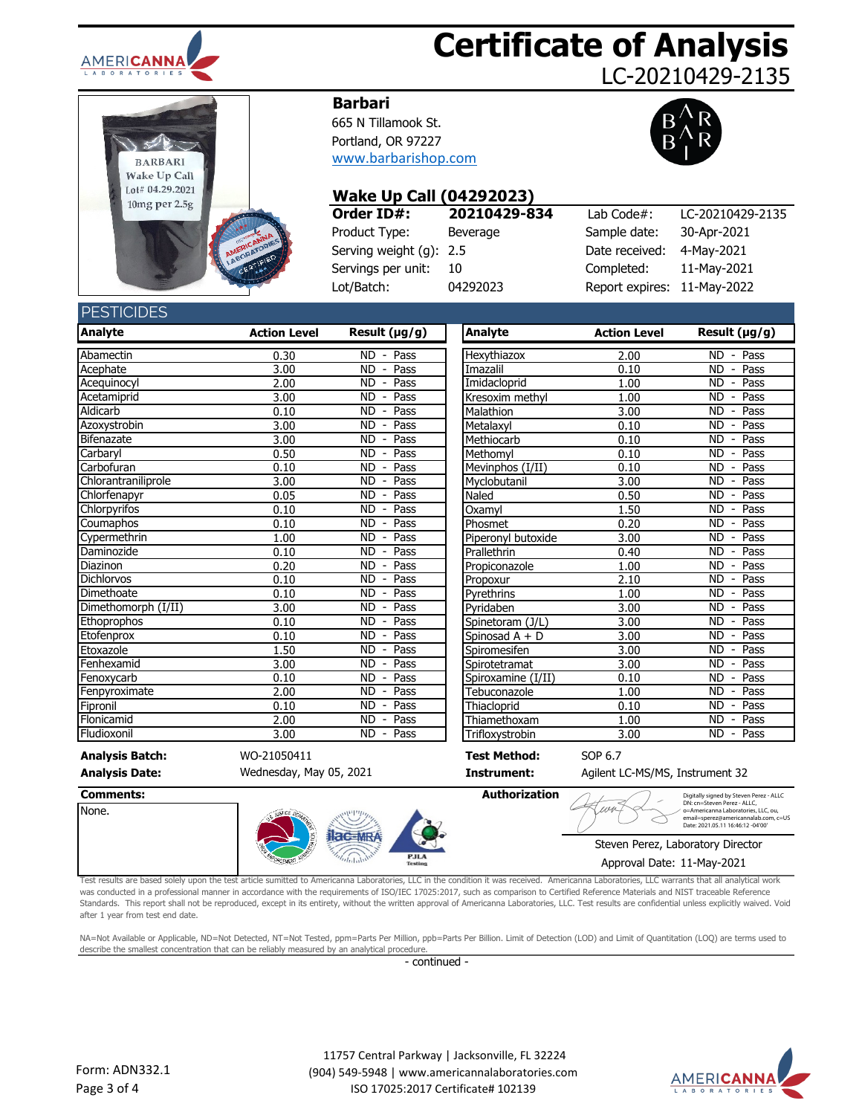

# **Certificate of Analysis**

LC-20210429-2135



#### **Barbari**

665 N Tillamook St. Portland, OR 97227 [www.barbarishop.com](http://www.teatagsandthings.com/)



#### **Wake Up Call (04292023)**

| Order ID#:              | 20210429-834 | Lab Code#:                  | LC-20210429-2135 |
|-------------------------|--------------|-----------------------------|------------------|
| Product Type:           | Beverage     | Sample date:                | 30-Apr-2021      |
| Serving weight (g): 2.5 |              | Date received:              | 4-May-2021       |
| Servings per unit:      | -10          | Completed:                  | 11-May-2021      |
| Lot/Batch:              | 04292023     | Report expires: 11-May-2022 |                  |

#### **DECTICIDES**

| LUIUIDLU               |                     |                                               |                     |                     |                                               |
|------------------------|---------------------|-----------------------------------------------|---------------------|---------------------|-----------------------------------------------|
| <b>Analyte</b>         | <b>Action Level</b> | Result (µg/g)                                 | Analyte             | <b>Action Level</b> | Result (µg/g)                                 |
| Abamectin              | 0.30                | $\overline{\text{ND}}$ - Pass                 | Hexythiazox         | 2.00                | $\overline{\text{ND}}$ - Pass                 |
| Acephate               | 3.00                | Pass<br>ND.<br>$\blacksquare$                 | Imazalil            | 0.10                | Pass<br><b>ND</b><br>$\blacksquare$           |
| Acequinocyl            | 2.00                | Pass<br><b>ND</b><br>$\overline{\phantom{a}}$ | Imidacloprid        | 1.00                | Pass<br><b>ND</b><br>$\overline{\phantom{a}}$ |
| Acetamiprid            | 3.00                | <b>ND</b><br>Pass<br>$\overline{\phantom{a}}$ | Kresoxim methyl     | 1.00                | <b>ND</b><br>Pass<br>$\blacksquare$           |
| Aldicarb               | 0.10                | Pass<br><b>ND</b><br>$\overline{\phantom{a}}$ | Malathion           | 3.00                | Pass<br><b>ND</b><br>$\overline{\phantom{a}}$ |
| Azoxystrobin           | 3.00                | Pass<br><b>ND</b><br>$\overline{\phantom{a}}$ | Metalaxyl           | 0.10                | Pass<br><b>ND</b><br>$\blacksquare$           |
| Bifenazate             | 3.00                | <b>ND</b><br>Pass<br>$\overline{\phantom{a}}$ | Methiocarb          | 0.10                | <b>ND</b><br>Pass<br>$\overline{\phantom{a}}$ |
| Carbaryl               | 0.50                | <b>ND</b><br>Pass<br>$\blacksquare$           | Methomyl            | 0.10                | <b>ND</b><br>Pass<br>$\blacksquare$           |
| Carbofuran             | 0.10                | Pass<br>ND.<br>$\blacksquare$                 | Mevinphos (I/II)    | 0.10                | <b>ND</b><br>Pass<br>$\blacksquare$           |
| Chlorantraniliprole    | 3.00                | <b>ND</b><br>Pass<br>$\overline{\phantom{a}}$ | Myclobutanil        | 3.00                | <b>ND</b><br>Pass                             |
| Chlorfenapyr           | 0.05                | Pass<br>ND.<br>$\overline{\phantom{a}}$       | Naled               | 0.50                | <b>ND</b><br>Pass<br>$\overline{\phantom{a}}$ |
| Chlorpyrifos           | 0.10                | <b>ND</b><br>Pass<br>$\blacksquare$           | Oxamyl              | 1.50                | <b>ND</b><br>Pass<br>$\blacksquare$           |
| Coumaphos              | 0.10                | ND<br>Pass<br>$\overline{\phantom{a}}$        | Phosmet             | 0.20                | ND<br>Pass<br>$\overline{\phantom{a}}$        |
| Cypermethrin           | 1.00                | <b>ND</b><br>Pass<br>$\overline{\phantom{a}}$ | Piperonyl butoxide  | 3.00                | <b>ND</b><br>Pass<br>$\overline{\phantom{a}}$ |
| Daminozide             | 0.10                | <b>ND</b><br>Pass<br>$\overline{\phantom{0}}$ | Prallethrin         | 0.40                | <b>ND</b><br>Pass                             |
| Diazinon               | 0.20                | Pass<br><b>ND</b><br>$\overline{\phantom{a}}$ | Propiconazole       | 1.00                | Pass<br><b>ND</b><br>$\overline{\phantom{a}}$ |
| Dichlorvos             | 0.10                | <b>ND</b><br>Pass<br>$\overline{\phantom{a}}$ | Propoxur            | 2.10                | <b>ND</b><br>Pass<br>$\sim$                   |
| Dimethoate             | 0.10                | <b>ND</b><br>Pass<br>$\overline{\phantom{a}}$ | Pyrethrins          | 1.00                | <b>ND</b><br>Pass<br>$\overline{\phantom{a}}$ |
| Dimethomorph (I/II)    | 3.00                | <b>ND</b><br>Pass<br>$\overline{\phantom{a}}$ | Pyridaben           | 3.00                | <b>ND</b><br>Pass<br>$\blacksquare$           |
| Ethoprophos            | 0.10                | Pass<br>ND<br>$\blacksquare$                  | Spinetoram (J/L)    | 3.00                | ND<br>Pass<br>$\blacksquare$                  |
| Etofenprox             | 0.10                | Pass<br><b>ND</b><br>$\overline{\phantom{a}}$ | Spinosad $A + D$    | 3.00                | Pass<br><b>ND</b><br>$\overline{\phantom{a}}$ |
| Etoxazole              | 1.50                | Pass<br><b>ND</b><br>$\blacksquare$           | Spiromesifen        | 3.00                | Pass<br><b>ND</b><br>$\blacksquare$           |
| Fenhexamid             | 3.00                | <b>ND</b><br>Pass<br>$\overline{\phantom{a}}$ | Spirotetramat       | 3.00                | <b>ND</b><br>Pass<br>$\blacksquare$           |
| Fenoxycarb             | 0.10                | <b>ND</b><br>Pass<br>$\overline{\phantom{a}}$ | Spiroxamine (I/II)  | 0.10                | <b>ND</b><br>Pass<br>$\overline{\phantom{a}}$ |
| Fenpyroximate          | 2.00                | Pass<br><b>ND</b><br>$\blacksquare$           | Tebuconazole        | 1.00                | <b>ND</b><br>Pass<br>$\blacksquare$           |
| Fipronil               | 0.10                | <b>ND</b><br>Pass                             | Thiacloprid         | 0.10                | Pass<br><b>ND</b><br>$\overline{\phantom{a}}$ |
| Flonicamid             | 2.00                | <b>ND</b><br>Pass<br>$\overline{\phantom{a}}$ | Thiamethoxam        | 1.00                | <b>ND</b><br>Pass<br>$\overline{\phantom{a}}$ |
| Fludioxonil            | 3.00                | <b>ND</b><br>Pass<br>$\sim$                   | Trifloxystrobin     | 3.00                | <b>ND</b><br>Pass<br>$\sim$                   |
| <b>Analysis Batch:</b> | WO-21050411         |                                               | <b>Test Method:</b> | SOP 6.7             |                                               |

**Analysis Date: Instrument:** Agilent LC-MS/MS, Instrument 32 Wednesday, May 05, 2021

DN: cn=Steven Perez - ALLC, o=Americanna Laboratories, LLC, ou, email=sperez@americannalab.com, c=US Date: 2021.05.11 16:46:12 -04'00'

None.



Steven Perez, Laboratory Director Approval Date: 11-May-2021

Test results are based solely upon the test article sumitted to Americanna Laboratories, LLC in the condition it was received. Americanna Laboratories, LLC warrants that all analytical work was conducted in a professional manner in accordance with the requirements of ISO/IEC 17025:2017, such as comparison to Certified Reference Materials and NIST traceable Reference Standards. This report shall not be reproduced, except in its entirety, without the written approval of Americanna Laboratories, LLC. Test results are confidential unless explicitly waived. Void after 1 year from test end date. ALLCONIX CHANNEL CONDUCT CONDUCT CONDUCT CONDUCT CONDUCT CONDUCT CONDUCT CONDUCT CONDUCT CONDUCT CONDUCT CONDUCT CONDUCT CONDUCT CONDUCT CONDUCT CONDUCT CONDUCT CONDUCT CONDUCT CONDUCT CONDUCT CONDUCT CONDUCT CONDUCT CONDU

NA=Not Available or Applicable, ND=Not Detected, NT=Not Tested, ppm=Parts Per Million, ppb=Parts Per Billion. Limit of Detection (LOD) and Limit of Quantitation (LOQ) are terms used to describe the smallest concentration that can be reliably measured by an analytical procedure.

- continued -